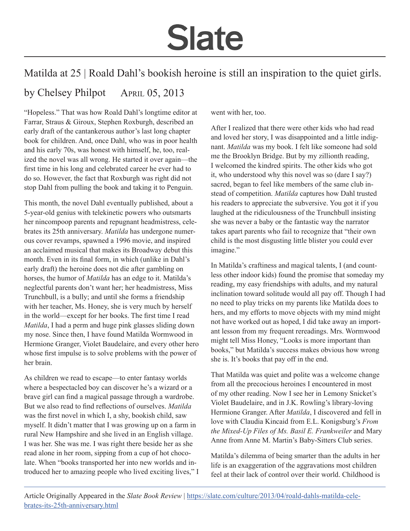## **Slate**

## Matilda at 25 | Roald Dahl's bookish heroine is still an inspiration to the quiet girls.

## by Chelsey Philpot April 05, 2013

"Hopeless." That was how Roald Dahl's longtime editor at Farrar, Straus & Giroux, Stephen Roxburgh, described an early draft of the cantankerous author's last long chapter book for children. And, once Dahl, who was in poor health and his early 70s, was honest with himself, he, too, realized the novel was all wrong. He started it over again—the first time in his long and celebrated career he ever had to do so. However, the fact that Roxburgh was right did not stop Dahl from pulling the book and taking it to Penguin.

This month, the novel Dahl eventually published, about a 5-year-old genius with telekinetic powers who outsmarts her nincompoop parents and repugnant headmistress, celebrates its 25th anniversary. *Matilda* has undergone numerous cover revamps, spawned a 1996 movie, and inspired an acclaimed musical that makes its Broadway debut this month. Even in its final form, in which (unlike in Dahl's early draft) the heroine does not die after gambling on horses, the humor of *Matilda* has an edge to it. Matilda's neglectful parents don't want her; her headmistress, Miss Trunchbull, is a bully; and until she forms a friendship with her teacher, Ms. Honey, she is very much by herself in the world—except for her books. The first time I read *Matilda*, I had a perm and huge pink glasses sliding down my nose. Since then, I have found Matilda Wormwood in Hermione Granger, Violet Baudelaire, and every other hero whose first impulse is to solve problems with the power of her brain.

As children we read to escape—to enter fantasy worlds where a bespectacled boy can discover he's a wizard or a brave girl can find a magical passage through a wardrobe. But we also read to find reflections of ourselves. *Matilda*  was the first novel in which I, a shy, bookish child, saw myself. It didn't matter that I was growing up on a farm in rural New Hampshire and she lived in an English village. I was her. She was me. I was right there beside her as she read alone in her room, sipping from a cup of hot chocolate. When "books transported her into new worlds and introduced her to amazing people who lived exciting lives," I went with her, too.

After I realized that there were other kids who had read and loved her story, I was disappointed and a little indignant. *Matilda* was my book. I felt like someone had sold me the Brooklyn Bridge. But by my zillionth reading, I welcomed the kindred spirits. The other kids who got it, who understood why this novel was so (dare I say?) sacred, began to feel like members of the same club instead of competition. *Matilda* captures how Dahl trusted his readers to appreciate the subversive. You got it if you laughed at the ridiculousness of the Trunchbull insisting she was never a baby or the fantastic way the narrator takes apart parents who fail to recognize that "their own child is the most disgusting little blister you could ever imagine."

In Matilda's craftiness and magical talents, I (and countless other indoor kids) found the promise that someday my reading, my easy friendships with adults, and my natural inclination toward solitude would all pay off. Though I had no need to play tricks on my parents like Matilda does to hers, and my efforts to move objects with my mind might not have worked out as hoped, I did take away an important lesson from my frequent rereadings. Mrs. Wormwood might tell Miss Honey, "Looks is more important than books," but Matilda's success makes obvious how wrong she is. It's books that pay off in the end.

That Matilda was quiet and polite was a welcome change from all the precocious heroines I encountered in most of my other reading. Now I see her in Lemony Snicket's Violet Baudelaire, and in J.K. Rowling's library-loving Hermione Granger. After *Matilda*, I discovered and fell in love with Claudia Kincaid from E.L. Konigsburg's *From the Mixed-Up Files of Ms. Basil E. Frankweiler* and Mary Anne from Anne M. Martin's Baby-Sitters Club series.

Matilda's dilemma of being smarter than the adults in her life is an exaggeration of the aggravations most children feel at their lack of control over their world. Childhood is

Article Originally Appeared in the *Slate Book Review* | [https://slate.com/culture/2013/04/roald-dahls-matilda-cele](https://slate.com/culture/2013/04/roald-dahls-matilda-celebrates-its-25th-anniversary.html)[brates-its-25th-anniversary.html](https://slate.com/culture/2013/04/roald-dahls-matilda-celebrates-its-25th-anniversary.html)